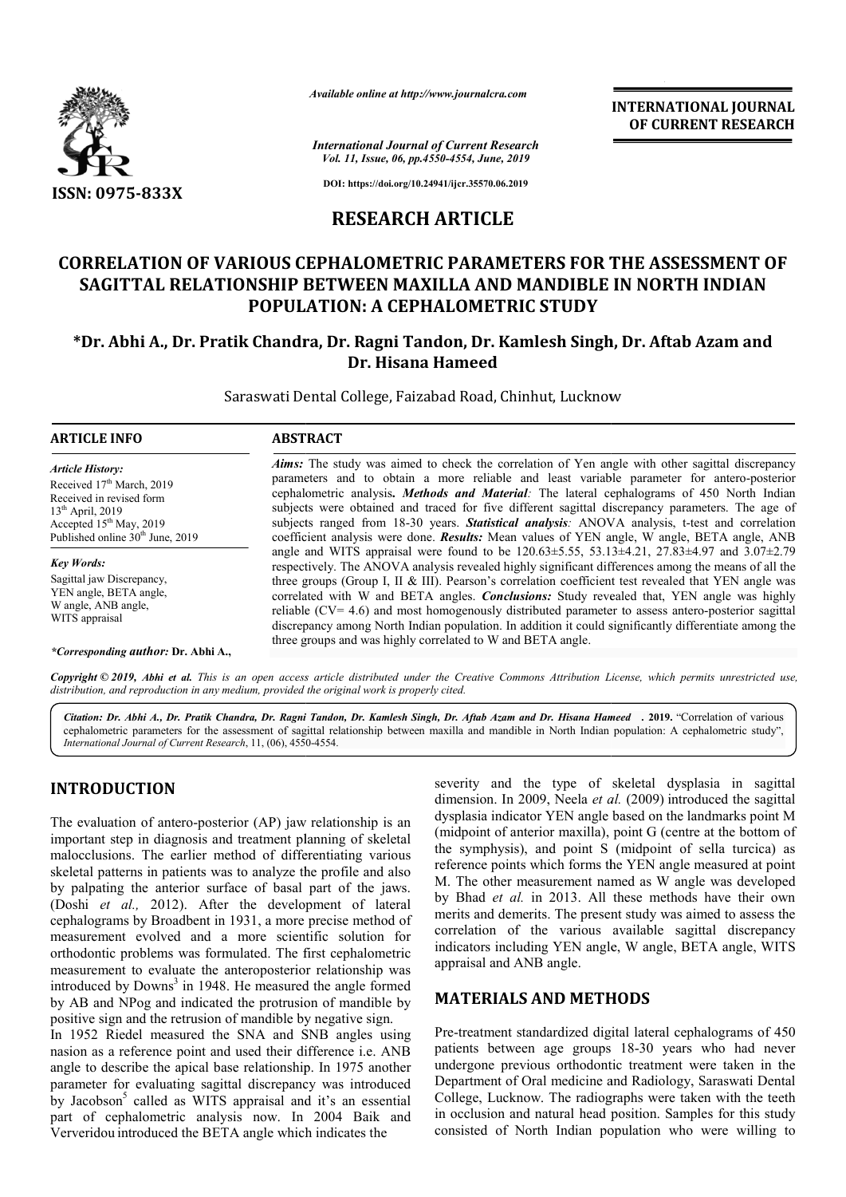

*Available online at http://www.journalcra.com*

*International Journal of Current Research Vol. 11, Issue, 06, pp.4550-4554, June, 2019*

**DOI: https://doi.org/10.24941/ijcr.35570.06.2019**

# **RESEARCH ARTICLE**

# **CORRELATION OF VARIOUS CEPHALOMETRIC PARAMETERS FOR THE ASSESSMENT OF CORRELATION OF VARIOUS BETWEEN MAXILLA SAGITTAL RELATIONSHIP BETWEEN MAXILLA AND MANDIBLE IN NORTH INDIAN POPULATION: A CEPHALOMETRIC STUDY**

# **\*Dr. Abhi A., Dr. Pratik Chandra, Dr Dr. Ragni Tandon, Dr. Kamlesh Singh, Dr Dr. Aftab Azam and Dr. Hisana Hameed**

Saraswati Dental College, Faizabad Road, Chinhut, Lucknow

#### **ARTICLE INFO ABSTRACT**

*Article History:* Received 17<sup>th</sup> March, 2019 Received in revised form 13<sup>th</sup> April, 2019 Accepted 15<sup>th</sup> May, 2019 Published online 30<sup>th</sup> June, 2019

*Key Words:* Sagittal jaw Discrepancy, YEN angle, BETA angle, W angle, ANB angle, WITS appraisal

#### *\*Corresponding author:* **Dr. Abhi A.,**

*Aims:* The study was aimed to check the correlation of Yen angle with other sagittal discrepancy *Aims*: The study was aimed to check the correlation of Yen angle with other sagittal discrepancy parameters and to obtain a more reliable and least variable parameter for antero-posterior cephalometric analysis **.** *Methods and Material:* The lateral cephalograms of 450 North Indian subjects were obtained and traced for five different sagittal discrepancy parameters. The age of subjects ranged from 18-30 years. *Statistical analysis:* ANOVA analysis, t coefficient analysis were done. *Results:* Mean values of YEN angle, W angle, BETA angle, ANB angle and WITS appraisal were found to be 120.63±5.55, 53.13±4.21, 27.83±4.97 and 3.07±2.79 respectively. The ANOVA analysis revealed highly significant differences among the means of all the three groups (Group I, II & III). Pearson's correlation coefficient test revealed that YEN angle was correlated with W and BETA angles. *Conclusions:* Study revealed that, YEN angle was highly reliable  $(CV = 4.6)$  and most homogenously distributed parameter to assess antero-posterior sagittal discrepancy among North Indian population. In addition it could significantly differentiate among the three groups and was highly correlated to W and BETA angle. cephalometric analysis. *Methods and Material*: The lateral cephalograms of 450 North Indian<br>subjects were obtained and traced for five different sagittal discrepancy parameters. The age of<br>subjects ranged from 18-30 years coefficient analysis were done. **Results:** Mean values of YEN angle, W angle, BETA angle, ANB angle and WITS appraisal were found to be 120.63±5.55, 53.13±4.21, 27.83±4.97 and 3.07±2.79 respectively. The ANOVA analysis rev three groups (Group I, II & III). Pearson's correlation coefficient test revealed that YEN angle was correlated with W and BETA angles. *Conclusions:* Study revealed that, YEN angle was highly reliable (CV= 4.6) and most h

Copyright © 2019, Abhi et al. This is an open access article distributed under the Creative Commons Attribution License, which permits unrestricted use, *distribution, and reproduction in any medium, provided the original work is properly cited.*

Citation: Dr. Abhi A., Dr. Pratik Chandra, Dr. Ragni Tandon, Dr. Kamlesh Singh, Dr. Aftab Azam and Dr. Hisana Hameed . 2019. "Correlation of various cephalometric parameters for the assessment of sagittal relationship between maxilla and mandible in North Indian population: A cephalometric study", *International Journal of Current Research*, 11, (06), 4550 4550-4554.

## **INTRODUCTION**

The evaluation of antero-posterior (AP) jaw relationship is an important step in diagnosis and treatment planning of skeletal malocclusions. The earlier method of differentiating various skeletal patterns in patients was to analyze the profile and also by palpating the anterior surface of basal part of the jaws. (Doshi *et al.,* 2012). After the development of lateral cephalograms by Broadbent in 1931, a more precise method of measurement evolved and a more scientific solution for orthodontic problems was formulated. The first cephalometric measurement to evaluate the anteroposterior relationship was introduced by  $Downs<sup>3</sup>$  in 1948. He measured the angle formed by AB and NPog and indicated the protrusion of mandible by positive sign and the retrusion of mandible by negative sign. In 1952 Riedel measured the SNA and SNB angles using nasion as a reference point and used their difference i.e. ANB angle to describe the apical base relationship. In 1975 another parameter for evaluating sagittal discrepancy was introduced by Jacobson<sup>5</sup> called as WITS appraisal and it's an essential part of cephalometric analysis now. In 2004 Baik and Ververidou introduced the BETA angle which indicates the repro-posterior (AP) jaw relationship is an nosis and treatment planning of skeletal arlier method of differentiating various ients was to analyze the profile and also rior surface of basal part of the jaws.<br>
). After the e to describe the apical base relationship. In 1975 another<br>meter for evaluating sagittal discrepancy was introduced<br>facobson<sup>5</sup> called as WITS appraisal and it's an essential<br>of cephalometric analysis now. In 2004 Baik an severity and the type of skeletal dysplasia in sagittal severity and the type of skeletal dysplasia in sagittal dimension. In 2009, Neela *et al.* (2009) introduced the sagittal dysplasia indicator YEN angle based on the landmarks point M dysplasia indicator YEN angle based on the landmarks point M<br>(midpoint of anterior maxilla), point G (centre at the bottom of the symphysis), and point S (midpoint of sella turcica) as reference points which forms the YEN angle measured at point M. The other measurement named as W angle was developed by Bhad et al. in 2013. All these methods have their own merits and demerits. The present study was aimed to assess the correlation of the various available sagittal discrepancy indicators including YEN angle, W angle, BETA angle, WITS appraisal and ANB angle. S (midpoint of sella turcica) as<br>s the YEN angle measured at point<br>named as W angle was developed merits and demerits. The present study was aimed to assess the correlation of the various available sagittal discrepancy indicators including YEN angle, W angle, BETA angle, WITS **IL JOURNAL<br>
RESEARCH<br>
RESEARCH<br>
MENT OF<br>
IDIAN<br>
am and correlation<br>
am and correlation<br>
and a stage, ANB<br>
and 3.07+2.79<br>
and 3.07+2.79<br>
and 3.07+2.79<br>
means of all the<br>
MEN angle was highly<br>
systerior sagittal<br>
tiate amon** 

**INTERNATIONAL JOURNAL OF CURRENT RESEARCH**

## **MATERIALS AND METHODS METHODS**

Pre-treatment standardized digital lateral cephalograms of 450 Pre-treatment standardized digital lateral cephalograms of 450 patients between age groups 18-30 years who had never undergone previous orthodontic treatment were taken in the Department of Oral medicine and Radiology, Saraswati Dental Department of Oral medicine and Radiology, Saraswati Dental College, Lucknow. The radiographs were taken with the teeth in occlusion and natural head position. Samples for this study consisted of North Indian population who were willing to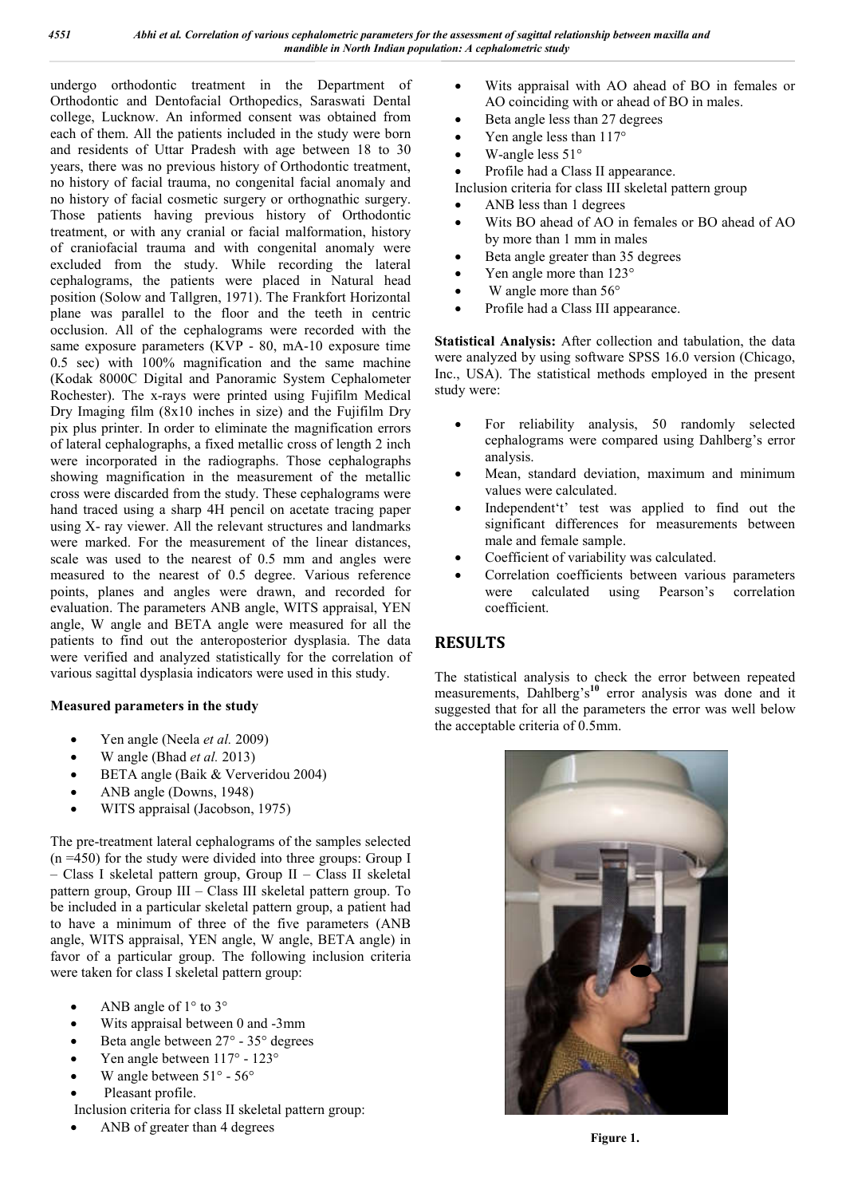undergo orthodontic treatment in the Department of Orthodontic and Dentofacial Orthopedics, Saraswati Dental college, Lucknow. An informed consent was obtained from each of them. All the patients included in the study were born and residents of Uttar Pradesh with age between 18 to 30 years, there was no previous history of Orthodontic treatment, no history of facial trauma, no congenital facial anomaly and no history of facial cosmetic surgery or orthognathic surgery. Those patients having previous history of Orthodontic treatment, or with any cranial or facial malformation, history of craniofacial trauma and with congenital anomaly were excluded from the study. While recording the lateral cephalograms, the patients were placed in Natural head position (Solow and Tallgren, 1971). The Frankfort Horizontal plane was parallel to the floor and the teeth in centric occlusion. All of the cephalograms were recorded with the same exposure parameters (KVP - 80, mA-10 exposure time 0.5 sec) with 100% magnification and the same machine (Kodak 8000C Digital and Panoramic System Cephalometer Rochester). The x-rays were printed using Fujifilm Medical Dry Imaging film (8x10 inches in size) and the Fujifilm Dry pix plus printer. In order to eliminate the magnification errors of lateral cephalographs, a fixed metallic cross of length 2 inch were incorporated in the radiographs. Those cephalographs showing magnification in the measurement of the metallic cross were discarded from the study. These cephalograms were hand traced using a sharp 4H pencil on acetate tracing paper using X- ray viewer. All the relevant structures and landmarks were marked. For the measurement of the linear distances, scale was used to the nearest of 0.5 mm and angles were measured to the nearest of 0.5 degree. Various reference points, planes and angles were drawn, and recorded for evaluation. The parameters ANB angle, WITS appraisal, YEN angle, W angle and BETA angle were measured for all the patients to find out the anteroposterior dysplasia. The data were verified and analyzed statistically for the correlation of various sagittal dysplasia indicators were used in this study.

## **Measured parameters in the study**

- Yen angle (Neela *et al.* 2009)
- W angle (Bhad *et al.* 2013)
- BETA angle (Baik & Ververidou 2004)
- ANB angle (Downs, 1948)
- WITS appraisal (Jacobson, 1975)

The pre-treatment lateral cephalograms of the samples selected  $(n = 450)$  for the study were divided into three groups: Group I – Class I skeletal pattern group, Group II – Class II skeletal pattern group, Group III – Class III skeletal pattern group. To be included in a particular skeletal pattern group, a patient had to have a minimum of three of the five parameters (ANB angle, WITS appraisal, YEN angle, W angle, BETA angle) in favor of a particular group. The following inclusion criteria were taken for class I skeletal pattern group:

- ANB angle of 1° to 3°
- Wits appraisal between 0 and -3mm
- Beta angle between 27° 35° degrees
- Yen angle between 117° 123°
- W angle between 51° 56°
- Pleasant profile.
- Inclusion criteria for class II skeletal pattern group:
- ANB of greater than 4 degrees
- Wits appraisal with AO ahead of BO in females or AO coinciding with or ahead of BO in males.
- Beta angle less than 27 degrees
- Yen angle less than  $117^{\circ}$
- W-angle less 51°
- Profile had a Class II appearance.

Inclusion criteria for class III skeletal pattern group

- ANB less than 1 degrees
- Wits BO ahead of AO in females or BO ahead of AO by more than 1 mm in males
- Beta angle greater than 35 degrees
- Yen angle more than 123°
- W angle more than 56°
- Profile had a Class III appearance.

**Statistical Analysis:** After collection and tabulation, the data were analyzed by using software SPSS 16.0 version (Chicago, Inc., USA). The statistical methods employed in the present study were:

- For reliability analysis, 50 randomly selected cephalograms were compared using Dahlberg's error analysis.
- Mean, standard deviation, maximum and minimum values were calculated.
- Independent't' test was applied to find out the significant differences for measurements between male and female sample.
- Coefficient of variability was calculated.
- Correlation coefficients between various parameters were calculated using Pearson's coefficient.

# **RESULTS**

The statistical analysis to check the error between repeated measurements, Dahlberg's**<sup>10</sup>** error analysis was done and it suggested that for all the parameters the error was well below the acceptable criteria of 0.5mm.

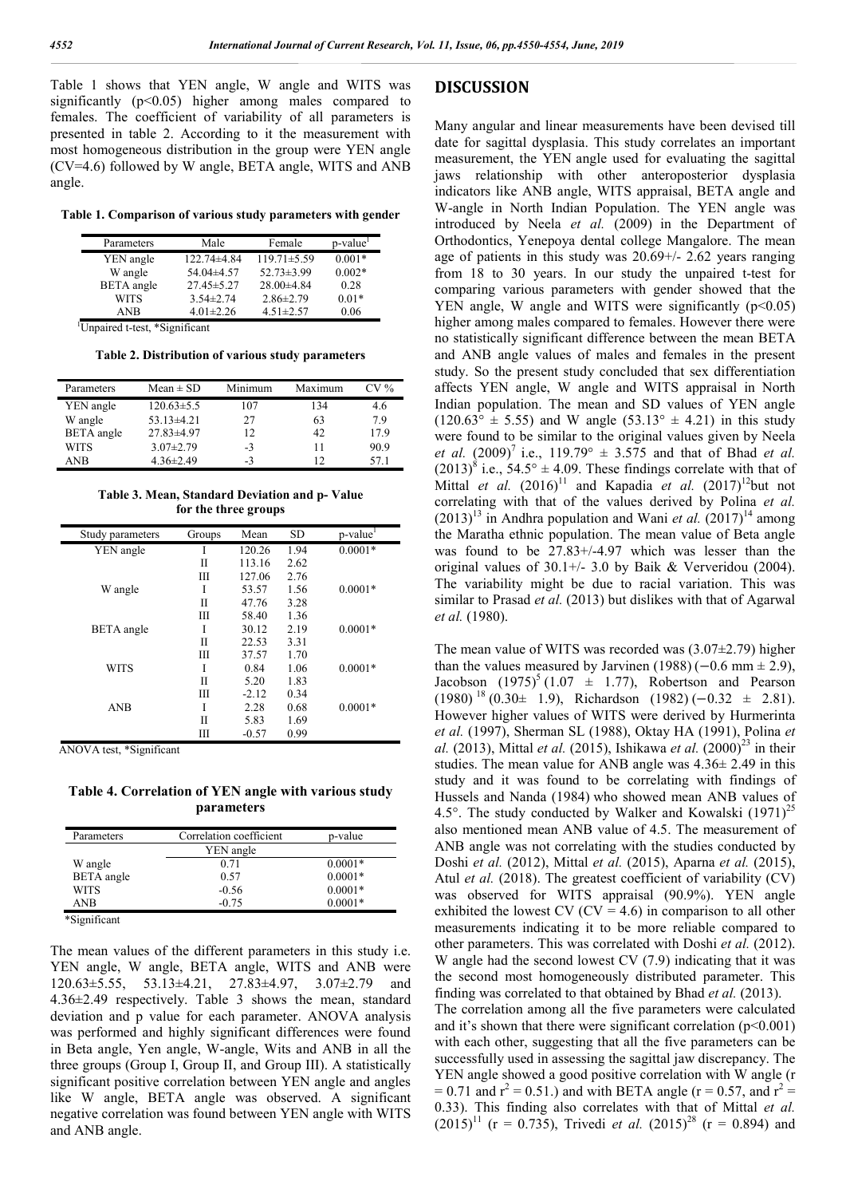Table 1 shows that YEN angle, W angle and WITS was significantly  $(p<0.05)$  higher among males compared to females. The coefficient of variability of all parameters is presented in table 2. According to it the measurement with most homogeneous distribution in the group were YEN angle (CV=4.6) followed by W angle, BETA angle, WITS and ANB angle.

**Table 1. Comparison of various study parameters with gender**

| Parameters        | Male             | Female            | p-value <sup>1</sup> |
|-------------------|------------------|-------------------|----------------------|
| YEN angle         | 122.74±4.84      | $119.71 \pm 5.59$ | $0.001*$             |
| W angle           | 54.04±4.57       | $52.73 \pm 3.99$  | $0.002*$             |
| <b>BETA</b> angle | $27.45 \pm 5.27$ | $28.00\pm4.84$    | 0.28                 |
| WITS              | $3.54 \pm 2.74$  | $2.86 \pm 2.79$   | $0.01*$              |
| <b>ANB</b>        | $4.01 \pm 2.26$  | $4.51 \pm 2.57$   | 0.06                 |

 1 Unpaired t-test, \*Significant

**Table 2. Distribution of various study parameters**

| Parameters        | $Mean \pm SD$    | Minimum | Maximum | $CV\%$ |
|-------------------|------------------|---------|---------|--------|
| YEN angle         | $120.63 \pm 5.5$ | 107     | 134     | 4.6    |
| W angle           | $53.13 \pm 4.21$ | 27      | 63      | 79     |
| <b>BETA</b> angle | $27.83\pm4.97$   | 12      | 42      | 17.9   |
| <b>WITS</b>       | $3.07 \pm 2.79$  | $-3$    | 11      | 90.9   |
| ANB               | $4.36 \pm 2.49$  | $-3$    | 12      | 57 1   |

**Table 3. Mean, Standard Deviation and p- Value for the three groups**

| Study parameters  | Groups | Mean    | SD   | p-value <sup>1</sup> |
|-------------------|--------|---------|------|----------------------|
| YEN angle         | I      | 120.26  | 1.94 | $0.0001*$            |
|                   | Н      | 113.16  | 2.62 |                      |
|                   | Ш      | 127.06  | 2.76 |                      |
| W angle           | I      | 53.57   | 1.56 | $0.0001*$            |
|                   | П      | 47.76   | 3.28 |                      |
|                   | Ш      | 58.40   | 1.36 |                      |
| <b>BETA</b> angle | I      | 30.12   | 2.19 | $0.0001*$            |
|                   | П      | 22.53   | 3.31 |                      |
|                   | Ш      | 37.57   | 1.70 |                      |
| <b>WITS</b>       | I      | 0.84    | 1.06 | $0.0001*$            |
|                   | П      | 5.20    | 1.83 |                      |
|                   | Ш      | $-2.12$ | 0.34 |                      |
| <b>ANB</b>        | I      | 2.28    | 0.68 | $0.0001*$            |
|                   | П      | 5.83    | 1.69 |                      |
|                   | Ш      | $-0.57$ | 0.99 |                      |

ANOVA test, \*Significant

**Table 4. Correlation of YEN angle with various study parameters**

| Parameters        | Correlation coefficient | p-value   |  |
|-------------------|-------------------------|-----------|--|
|                   | YEN angle               |           |  |
| W angle           | 0.71                    | $0.0001*$ |  |
| <b>BETA</b> angle | 0.57                    | $0.0001*$ |  |
| WITS              | $-0.56$                 | $0.0001*$ |  |
| ANB               | $-0.75$                 | $0.0001*$ |  |

\*Significant

The mean values of the different parameters in this study i.e. YEN angle, W angle, BETA angle, WITS and ANB were 120.63±5.55, 53.13±4.21, 27.83±4.97, 3.07±2.79 and 4.36±2.49 respectively. Table 3 shows the mean, standard deviation and p value for each parameter. ANOVA analysis was performed and highly significant differences were found in Beta angle, Yen angle, W-angle, Wits and ANB in all the three groups (Group I, Group II, and Group III). A statistically significant positive correlation between YEN angle and angles like W angle, BETA angle was observed. A significant negative correlation was found between YEN angle with WITS and ANB angle.

## **DISCUSSION**

Many angular and linear measurements have been devised till date for sagittal dysplasia. This study correlates an important measurement, the YEN angle used for evaluating the sagittal jaws relationship with other anteroposterior dysplasia indicators like ANB angle, WITS appraisal, BETA angle and W-angle in North Indian Population. The YEN angle was introduced by Neela *et al.* (2009) in the Department of Orthodontics, Yenepoya dental college Mangalore. The mean age of patients in this study was 20.69+/- 2.62 years ranging from 18 to 30 years. In our study the unpaired t-test for comparing various parameters with gender showed that the YEN angle, W angle and WITS were significantly  $(p<0.05)$ higher among males compared to females. However there were no statistically significant difference between the mean BETA and ANB angle values of males and females in the present study. So the present study concluded that sex differentiation affects YEN angle, W angle and WITS appraisal in North Indian population. The mean and SD values of YEN angle  $(120.63^{\circ} \pm 5.55)$  and W angle  $(53.13^{\circ} \pm 4.21)$  in this study were found to be similar to the original values given by Neela *et al.*  $(2009)^7$  i.e.,  $119.79^{\circ} \pm 3.575$  and that of Bhad *et al.*  $(2013)^{8}$  i.e., 54.5°  $\pm$  4.09. These findings correlate with that of Mittal *et al.*  $(2016)^{11}$  and Kapadia *et al.*  $(2017)^{12}$ but not correlating with that of the values derived by Polina *et al.*   $(2013)^{13}$  in Andhra population and Wani *et al.*  $(2017)^{14}$  among the Maratha ethnic population. The mean value of Beta angle was found to be 27.83+/-4.97 which was lesser than the original values of 30.1+/- 3.0 by Baik & Ververidou (2004). The variability might be due to racial variation. This was similar to Prasad *et al.* (2013) but dislikes with that of Agarwal *et al.* (1980).

The mean value of WITS was recorded was  $(3.07\pm2.79)$  higher than the values measured by Jarvinen (1988) ( $-0.6$  mm  $\pm$  2.9), Jacobson  $(1975)^5$  (1.07  $\pm$  1.77), Robertson and Pearson  $(1980)$  <sup>18</sup> (0.30± 1.9), Richardson (1982) (−0.32 ± 2.81). However higher values of WITS were derived by Hurmerinta *et al.* (1997), Sherman SL (1988), Oktay HA (1991), Polina *et al.* (2013), Mittal *et al.* (2015), Ishikawa *et al.* (2000)<sup>23</sup> in their studies. The mean value for ANB angle was 4.36± 2.49 in this study and it was found to be correlating with findings of Hussels and Nanda (1984) who showed mean ANB values of 4.5°. The study conducted by Walker and Kowalski  $(1971)^{25}$ also mentioned mean ANB value of 4.5. The measurement of ANB angle was not correlating with the studies conducted by Doshi *et al.* (2012), Mittal *et al.* (2015), Aparna *et al.* (2015), Atul *et al.* (2018). The greatest coefficient of variability (CV) was observed for WITS appraisal (90.9%). YEN angle exhibited the lowest CV ( $CV = 4.6$ ) in comparison to all other measurements indicating it to be more reliable compared to other parameters. This was correlated with Doshi *et al.* (2012). W angle had the second lowest CV (7.9) indicating that it was the second most homogeneously distributed parameter. This finding was correlated to that obtained by Bhad *et al.* (2013). The correlation among all the five parameters were calculated and it's shown that there were significant correlation  $(p<0.001)$ with each other, suggesting that all the five parameters can be successfully used in assessing the sagittal jaw discrepancy. The YEN angle showed a good positive correlation with W angle (r  $= 0.71$  and  $r^2 = 0.51$ .) and with BETA angle (r = 0.57, and  $r^2 =$ 0.33). This finding also correlates with that of Mittal *et al.*   $(2015)^{11}$  (r = 0.735), Trivedi *et al.*  $(2015)^{28}$  (r = 0.894) and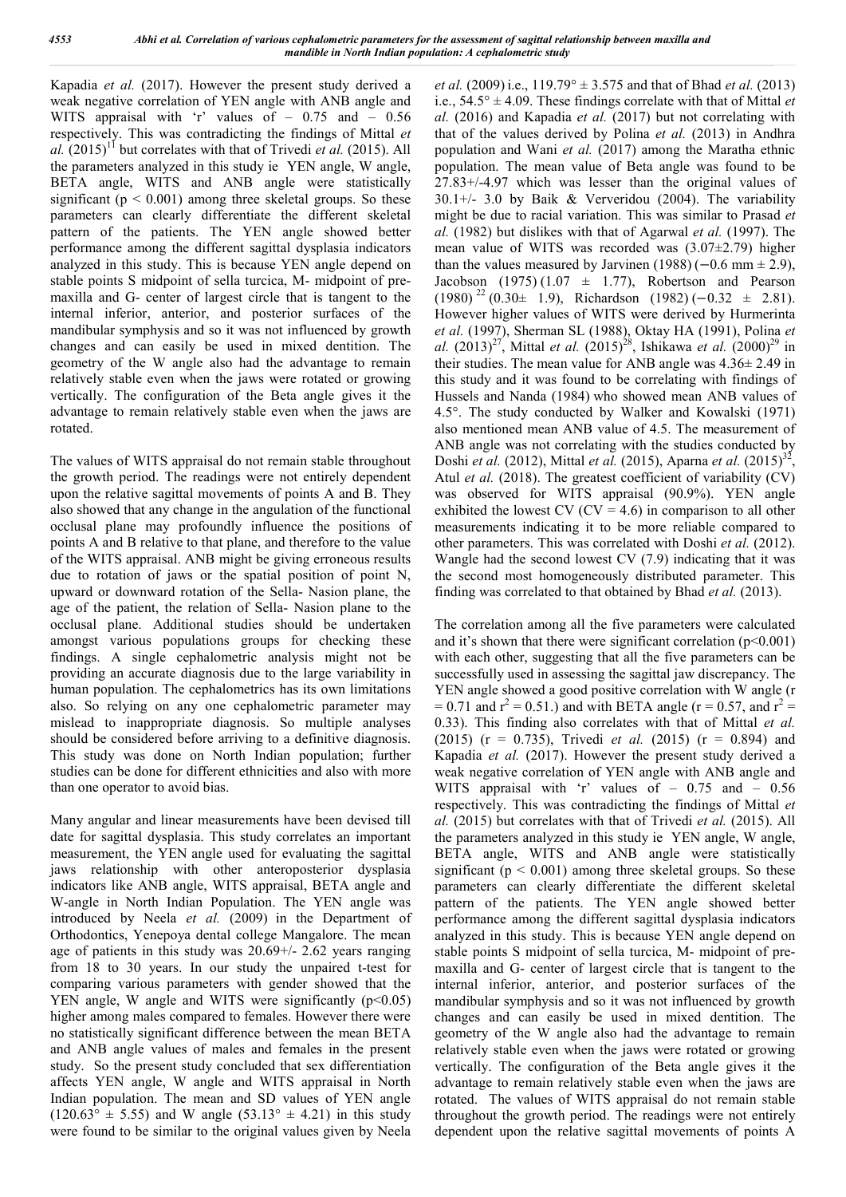Kapadia *et al.* (2017). However the present study derived a weak negative correlation of YEN angle with ANB angle and WITS appraisal with 'r' values of - 0.75 and - 0.56 respectively. This was contradicting the findings of Mittal *et al.*  $(2015)^{11}$  but correlates with that of Trivedi *et al.*  $(2015)$ . All the parameters analyzed in this study ie YEN angle, W angle, BETA angle, WITS and ANB angle were statistically significant ( $p \le 0.001$ ) among three skeletal groups. So these parameters can clearly differentiate the different skeletal pattern of the patients. The YEN angle showed better performance among the different sagittal dysplasia indicators analyzed in this study. This is because YEN angle depend on stable points S midpoint of sella turcica, M- midpoint of premaxilla and G- center of largest circle that is tangent to the internal inferior, anterior, and posterior surfaces of the mandibular symphysis and so it was not influenced by growth changes and can easily be used in mixed dentition. The geometry of the W angle also had the advantage to remain relatively stable even when the jaws were rotated or growing vertically. The configuration of the Beta angle gives it the advantage to remain relatively stable even when the jaws are rotated.

The values of WITS appraisal do not remain stable throughout the growth period. The readings were not entirely dependent upon the relative sagittal movements of points A and B. They also showed that any change in the angulation of the functional occlusal plane may profoundly influence the positions of points A and B relative to that plane, and therefore to the value of the WITS appraisal. ANB might be giving erroneous results due to rotation of jaws or the spatial position of point N, upward or downward rotation of the Sella- Nasion plane, the age of the patient, the relation of Sella- Nasion plane to the occlusal plane. Additional studies should be undertaken amongst various populations groups for checking these findings. A single cephalometric analysis might not be providing an accurate diagnosis due to the large variability in human population. The cephalometrics has its own limitations also. So relying on any one cephalometric parameter may mislead to inappropriate diagnosis. So multiple analyses should be considered before arriving to a definitive diagnosis. This study was done on North Indian population; further studies can be done for different ethnicities and also with more than one operator to avoid bias.

Many angular and linear measurements have been devised till date for sagittal dysplasia. This study correlates an important measurement, the YEN angle used for evaluating the sagittal jaws relationship with other anteroposterior dysplasia indicators like ANB angle, WITS appraisal, BETA angle and W-angle in North Indian Population. The YEN angle was introduced by Neela *et al.* (2009) in the Department of Orthodontics, Yenepoya dental college Mangalore. The mean age of patients in this study was 20.69+/- 2.62 years ranging from 18 to 30 years. In our study the unpaired t-test for comparing various parameters with gender showed that the YEN angle, W angle and WITS were significantly  $(p<0.05)$ higher among males compared to females. However there were no statistically significant difference between the mean BETA and ANB angle values of males and females in the present study. So the present study concluded that sex differentiation affects YEN angle, W angle and WITS appraisal in North Indian population. The mean and SD values of YEN angle  $(120.63^{\circ} \pm 5.55)$  and W angle  $(53.13^{\circ} \pm 4.21)$  in this study were found to be similar to the original values given by Neela

*et al.* (2009) i.e., 119.79° ± 3.575 and that of Bhad *et al.* (2013) i.e.,  $54.5^{\circ} \pm 4.09$ . These findings correlate with that of Mittal *et al.* (2016) and Kapadia *et al.* (2017) but not correlating with that of the values derived by Polina *et al.* (2013) in Andhra population and Wani *et al.* (2017) among the Maratha ethnic population. The mean value of Beta angle was found to be 27.83+/-4.97 which was lesser than the original values of 30.1+/- 3.0 by Baik & Ververidou (2004). The variability might be due to racial variation. This was similar to Prasad *et al.* (1982) but dislikes with that of Agarwal *et al.* (1997). The mean value of WITS was recorded was (3.07±2.79) higher than the values measured by Jarvinen (1988) ( $-0.6$  mm  $\pm$  2.9), Jacobson (1975) (1.07  $\pm$  1.77), Robertson and Pearson  $(1980)^{22}$  (0.30± 1.9), Richardson (1982) (-0.32 ± 2.81). However higher values of WITS were derived by Hurmerinta *et al.* (1997), Sherman SL (1988), Oktay HA (1991), Polina *et al.*  $(2013)^{27}$ , Mittal *et al.*  $(2015)^{28}$ , Ishikawa *et al.*  $(2000)^{29}$  in their studies. The mean value for ANB angle was 4.36± 2.49 in this study and it was found to be correlating with findings of Hussels and Nanda (1984) who showed mean ANB values of 4.5°. The study conducted by Walker and Kowalski (1971) also mentioned mean ANB value of 4.5. The measurement of ANB angle was not correlating with the studies conducted by Doshi *et al.* (2012), Mittal *et al.* (2015), Aparna *et al.* (2015)<sup>32</sup>, Atul *et al.* (2018). The greatest coefficient of variability (CV) was observed for WITS appraisal (90.9%). YEN angle exhibited the lowest CV ( $CV = 4.6$ ) in comparison to all other measurements indicating it to be more reliable compared to other parameters. This was correlated with Doshi *et al.* (2012). Wangle had the second lowest CV (7.9) indicating that it was the second most homogeneously distributed parameter. This finding was correlated to that obtained by Bhad *et al.* (2013).

The correlation among all the five parameters were calculated and it's shown that there were significant correlation  $(p<0.001)$ with each other, suggesting that all the five parameters can be successfully used in assessing the sagittal jaw discrepancy. The YEN angle showed a good positive correlation with W angle (r  $= 0.71$  and  $r^2 = 0.51$ .) and with BETA angle (r = 0.57, and  $r^2 =$ 0.33). This finding also correlates with that of Mittal *et al.*  (2015) (r = 0.735), Trivedi *et al.* (2015) (r = 0.894) and Kapadia *et al.* (2017). However the present study derived a weak negative correlation of YEN angle with ANB angle and WITS appraisal with 'r' values of – 0.75 and – 0.56 respectively. This was contradicting the findings of Mittal *et al.* (2015) but correlates with that of Trivedi *et al.* (2015). All the parameters analyzed in this study ie YEN angle, W angle, BETA angle, WITS and ANB angle were statistically significant ( $p < 0.001$ ) among three skeletal groups. So these parameters can clearly differentiate the different skeletal pattern of the patients. The YEN angle showed better performance among the different sagittal dysplasia indicators analyzed in this study. This is because YEN angle depend on stable points S midpoint of sella turcica, M- midpoint of premaxilla and G- center of largest circle that is tangent to the internal inferior, anterior, and posterior surfaces of the mandibular symphysis and so it was not influenced by growth changes and can easily be used in mixed dentition. The geometry of the W angle also had the advantage to remain relatively stable even when the jaws were rotated or growing vertically. The configuration of the Beta angle gives it the advantage to remain relatively stable even when the jaws are rotated. The values of WITS appraisal do not remain stable throughout the growth period. The readings were not entirely dependent upon the relative sagittal movements of points A